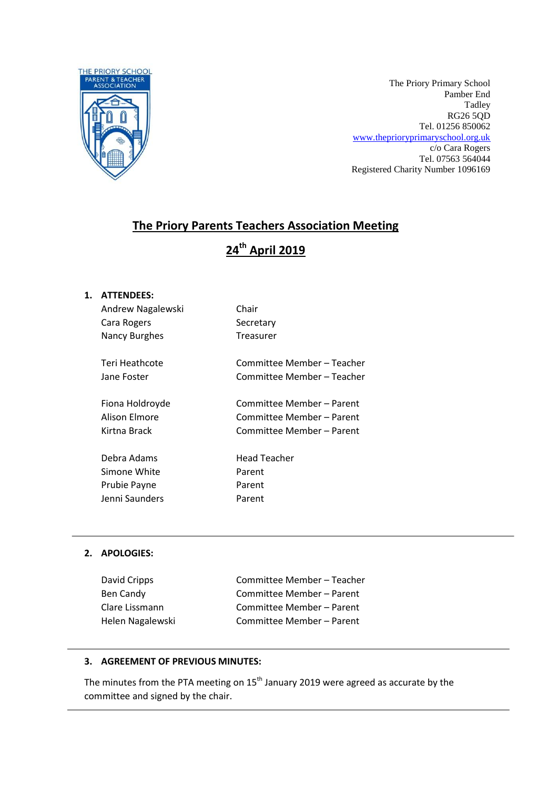

The Priory Primary School Pamber End Tadley RG26 5QD Tel. 01256 850062 [www.theprioryprimaryschool.org.uk](http://www.theprioryprimaryschool.org.uk/) c/o Cara Rogers Tel. 07563 564044 Registered Charity Number 1096169

# **The Priory Parents Teachers Association Meeting**

# **24th April 2019**

### **1. ATTENDEES:**

| Andrew Nagalewski | Chair                      |
|-------------------|----------------------------|
| Cara Rogers       | Secretary                  |
| Nancy Burghes     | Treasurer                  |
|                   |                            |
| Teri Heathcote    | Committee Member – Teacher |
| Jane Foster       | Committee Member – Teacher |
|                   |                            |
| Fiona Holdroyde   | Committee Member - Parent  |
| Alison Elmore     | Committee Member - Parent  |
| Kirtna Brack      | Committee Member – Parent  |
|                   |                            |
| Debra Adams       | Head Teacher               |
| Simone White      | Parent                     |
| Prubie Payne      | Parent                     |
| Jenni Saunders    | Parent                     |
|                   |                            |

#### **2. APOLOGIES:**

| David Cripps     |  |
|------------------|--|
| Ben Candy        |  |
| Clare Lissmann   |  |
| Helen Nagalewski |  |

Committee Member – Teacher Committee Member – Parent Committee Member – Parent Committee Member – Parent

#### **3. AGREEMENT OF PREVIOUS MINUTES:**

The minutes from the PTA meeting on  $15<sup>th</sup>$  January 2019 were agreed as accurate by the committee and signed by the chair.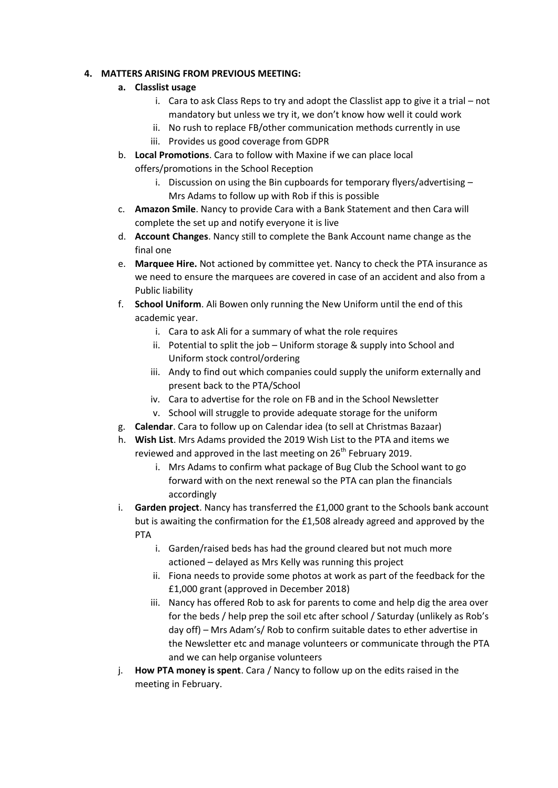#### **4. MATTERS ARISING FROM PREVIOUS MEETING:**

- **a. Classlist usage**
	- i. Cara to ask Class Reps to try and adopt the Classlist app to give it a trial not mandatory but unless we try it, we don't know how well it could work
	- ii. No rush to replace FB/other communication methods currently in use
	- iii. Provides us good coverage from GDPR
- b. **Local Promotions**. Cara to follow with Maxine if we can place local offers/promotions in the School Reception
	- i. Discussion on using the Bin cupboards for temporary flyers/advertising Mrs Adams to follow up with Rob if this is possible
- c. **Amazon Smile**. Nancy to provide Cara with a Bank Statement and then Cara will complete the set up and notify everyone it is live
- d. **Account Changes**. Nancy still to complete the Bank Account name change as the final one
- e. **Marquee Hire.** Not actioned by committee yet. Nancy to check the PTA insurance as we need to ensure the marquees are covered in case of an accident and also from a Public liability
- f. **School Uniform**. Ali Bowen only running the New Uniform until the end of this academic year.
	- i. Cara to ask Ali for a summary of what the role requires
	- ii. Potential to split the job Uniform storage & supply into School and Uniform stock control/ordering
	- iii. Andy to find out which companies could supply the uniform externally and present back to the PTA/School
	- iv. Cara to advertise for the role on FB and in the School Newsletter
	- v. School will struggle to provide adequate storage for the uniform
- g. **Calendar**. Cara to follow up on Calendar idea (to sell at Christmas Bazaar)
- h. **Wish List**. Mrs Adams provided the 2019 Wish List to the PTA and items we reviewed and approved in the last meeting on 26<sup>th</sup> February 2019.
	- i. Mrs Adams to confirm what package of Bug Club the School want to go forward with on the next renewal so the PTA can plan the financials accordingly
- i. **Garden project**. Nancy has transferred the £1,000 grant to the Schools bank account but is awaiting the confirmation for the £1,508 already agreed and approved by the PTA
	- i. Garden/raised beds has had the ground cleared but not much more actioned – delayed as Mrs Kelly was running this project
	- ii. Fiona needs to provide some photos at work as part of the feedback for the £1,000 grant (approved in December 2018)
	- iii. Nancy has offered Rob to ask for parents to come and help dig the area over for the beds / help prep the soil etc after school / Saturday (unlikely as Rob's day off) – Mrs Adam's/ Rob to confirm suitable dates to ether advertise in the Newsletter etc and manage volunteers or communicate through the PTA and we can help organise volunteers
- j. **How PTA money is spent**. Cara / Nancy to follow up on the edits raised in the meeting in February.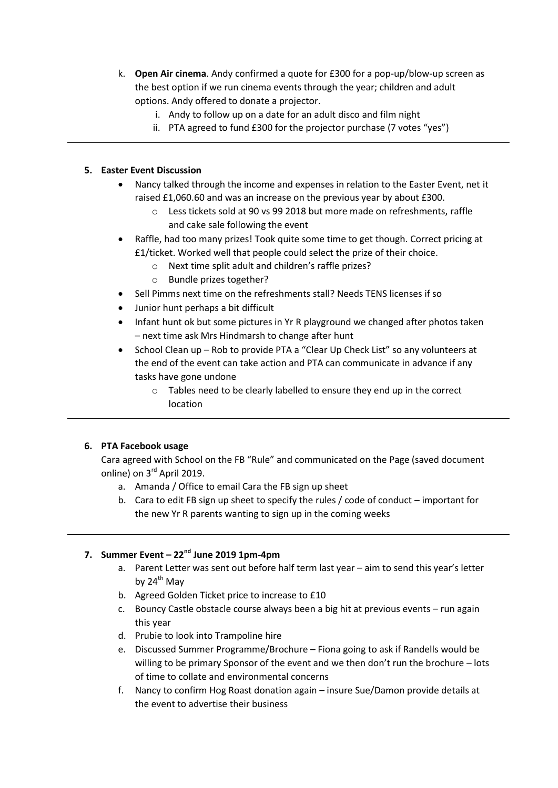- k. **Open Air cinema**. Andy confirmed a quote for £300 for a pop-up/blow-up screen as the best option if we run cinema events through the year; children and adult options. Andy offered to donate a projector.
	- i. Andy to follow up on a date for an adult disco and film night
	- ii. PTA agreed to fund £300 for the projector purchase (7 votes "yes")

#### **5. Easter Event Discussion**

- Nancy talked through the income and expenses in relation to the Easter Event, net it raised £1,060.60 and was an increase on the previous year by about £300.
	- o Less tickets sold at 90 vs 99 2018 but more made on refreshments, raffle and cake sale following the event
- Raffle, had too many prizes! Took quite some time to get though. Correct pricing at £1/ticket. Worked well that people could select the prize of their choice.
	- o Next time split adult and children's raffle prizes?
	- o Bundle prizes together?
	- Sell Pimms next time on the refreshments stall? Needs TENS licenses if so
- Junior hunt perhaps a bit difficult
- Infant hunt ok but some pictures in Yr R playground we changed after photos taken – next time ask Mrs Hindmarsh to change after hunt
- School Clean up Rob to provide PTA a "Clear Up Check List" so any volunteers at the end of the event can take action and PTA can communicate in advance if any tasks have gone undone
	- o Tables need to be clearly labelled to ensure they end up in the correct location

#### **6. PTA Facebook usage**

Cara agreed with School on the FB "Rule" and communicated on the Page (saved document online) on 3<sup>rd</sup> April 2019.

- a. Amanda / Office to email Cara the FB sign up sheet
- b. Cara to edit FB sign up sheet to specify the rules / code of conduct important for the new Yr R parents wanting to sign up in the coming weeks

## **7. Summer Event – 22nd June 2019 1pm-4pm**

- a. Parent Letter was sent out before half term last year aim to send this year's letter by  $24^{th}$  May
- b. Agreed Golden Ticket price to increase to £10
- c. Bouncy Castle obstacle course always been a big hit at previous events run again this year
- d. Prubie to look into Trampoline hire
- e. Discussed Summer Programme/Brochure Fiona going to ask if Randells would be willing to be primary Sponsor of the event and we then don't run the brochure – lots of time to collate and environmental concerns
- f. Nancy to confirm Hog Roast donation again insure Sue/Damon provide details at the event to advertise their business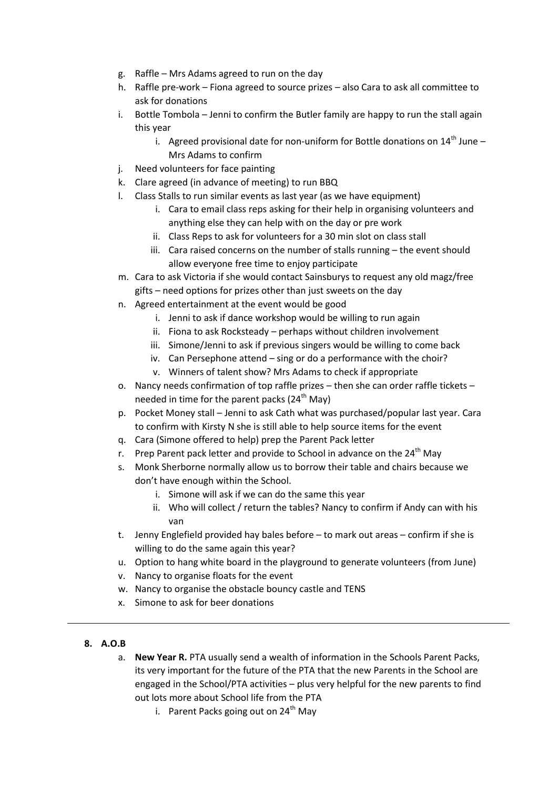- g. Raffle Mrs Adams agreed to run on the day
- h. Raffle pre-work Fiona agreed to source prizes also Cara to ask all committee to ask for donations
- i. Bottle Tombola Jenni to confirm the Butler family are happy to run the stall again this year
	- i. Agreed provisional date for non-uniform for Bottle donations on  $14<sup>th</sup>$  June Mrs Adams to confirm
- j. Need volunteers for face painting
- k. Clare agreed (in advance of meeting) to run BBQ
- l. Class Stalls to run similar events as last year (as we have equipment)
	- i. Cara to email class reps asking for their help in organising volunteers and anything else they can help with on the day or pre work
	- ii. Class Reps to ask for volunteers for a 30 min slot on class stall
	- iii. Cara raised concerns on the number of stalls running the event should allow everyone free time to enjoy participate
- m. Cara to ask Victoria if she would contact Sainsburys to request any old magz/free gifts – need options for prizes other than just sweets on the day
- n. Agreed entertainment at the event would be good
	- i. Jenni to ask if dance workshop would be willing to run again
	- ii. Fiona to ask Rocksteady perhaps without children involvement
	- iii. Simone/Jenni to ask if previous singers would be willing to come back
	- iv. Can Persephone attend sing or do a performance with the choir?
	- v. Winners of talent show? Mrs Adams to check if appropriate
- o. Nancy needs confirmation of top raffle prizes then she can order raffle tickets needed in time for the parent packs  $(24<sup>th</sup>$  May)
- p. Pocket Money stall Jenni to ask Cath what was purchased/popular last year. Cara to confirm with Kirsty N she is still able to help source items for the event
- q. Cara (Simone offered to help) prep the Parent Pack letter
- r. Prep Parent pack letter and provide to School in advance on the  $24<sup>th</sup>$  May
- s. Monk Sherborne normally allow us to borrow their table and chairs because we don't have enough within the School.
	- i. Simone will ask if we can do the same this year
	- ii. Who will collect / return the tables? Nancy to confirm if Andy can with his van
- t. Jenny Englefield provided hay bales before to mark out areas confirm if she is willing to do the same again this year?
- u. Option to hang white board in the playground to generate volunteers (from June)
- v. Nancy to organise floats for the event
- w. Nancy to organise the obstacle bouncy castle and TENS
- x. Simone to ask for beer donations
- **8. A.O.B**
	- a. **New Year R.** PTA usually send a wealth of information in the Schools Parent Packs, its very important for the future of the PTA that the new Parents in the School are engaged in the School/PTA activities – plus very helpful for the new parents to find out lots more about School life from the PTA
		- i. Parent Packs going out on  $24<sup>th</sup>$  May